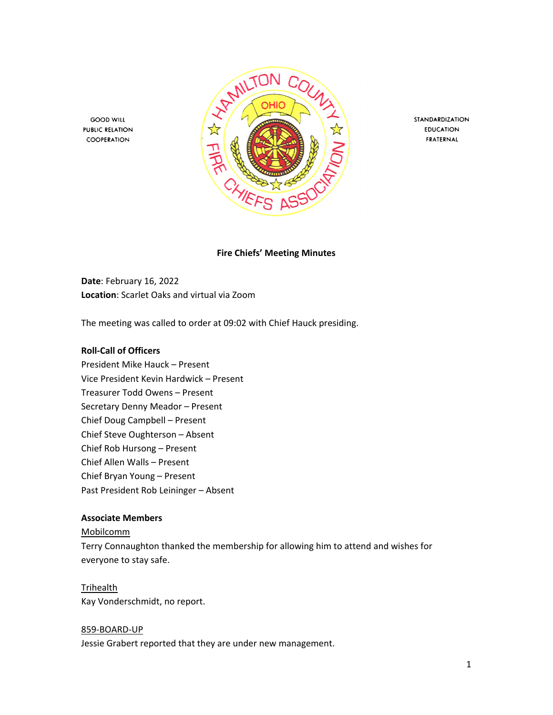

STANDARDIZATION **EDUCATION** FRATERNAL

**Fire Chiefs' Meeting Minutes**

**Date**: February 16, 2022 **Location**: Scarlet Oaks and virtual via Zoom

The meeting was called to order at 09:02 with Chief Hauck presiding.

#### **Roll-Call of Officers**

**GOOD WILL** 

**PUBLIC RELATION** 

COOPERATION

President Mike Hauck – Present Vice President Kevin Hardwick – Present Treasurer Todd Owens – Present Secretary Denny Meador – Present Chief Doug Campbell – Present Chief Steve Oughterson – Absent Chief Rob Hursong – Present Chief Allen Walls – Present Chief Bryan Young – Present Past President Rob Leininger – Absent

## **Associate Members**

#### Mobilcomm

Terry Connaughton thanked the membership for allowing him to attend and wishes for everyone to stay safe.

#### Trihealth

Kay Vonderschmidt, no report.

#### 859-BOARD-UP

Jessie Grabert reported that they are under new management.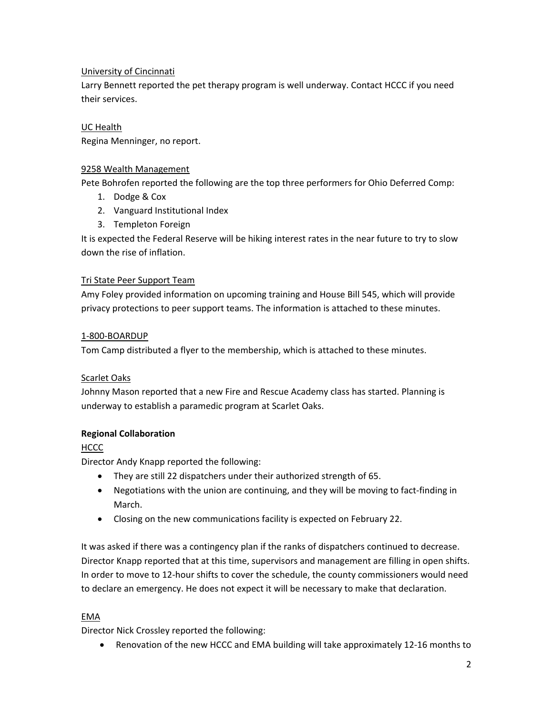# University of Cincinnati

Larry Bennett reported the pet therapy program is well underway. Contact HCCC if you need their services.

## UC Health

Regina Menninger, no report.

### 9258 Wealth Management

Pete Bohrofen reported the following are the top three performers for Ohio Deferred Comp:

- 1. Dodge & Cox
- 2. Vanguard Institutional Index
- 3. Templeton Foreign

It is expected the Federal Reserve will be hiking interest rates in the near future to try to slow down the rise of inflation.

## Tri State Peer Support Team

Amy Foley provided information on upcoming training and House Bill 545, which will provide privacy protections to peer support teams. The information is attached to these minutes.

## 1-800-BOARDUP

Tom Camp distributed a flyer to the membership, which is attached to these minutes.

### Scarlet Oaks

Johnny Mason reported that a new Fire and Rescue Academy class has started. Planning is underway to establish a paramedic program at Scarlet Oaks.

# **Regional Collaboration**

# **HCCC**

Director Andy Knapp reported the following:

- They are still 22 dispatchers under their authorized strength of 65.
- Negotiations with the union are continuing, and they will be moving to fact-finding in March.
- Closing on the new communications facility is expected on February 22.

It was asked if there was a contingency plan if the ranks of dispatchers continued to decrease. Director Knapp reported that at this time, supervisors and management are filling in open shifts. In order to move to 12-hour shifts to cover the schedule, the county commissioners would need to declare an emergency. He does not expect it will be necessary to make that declaration.

### EMA

Director Nick Crossley reported the following:

• Renovation of the new HCCC and EMA building will take approximately 12-16 months to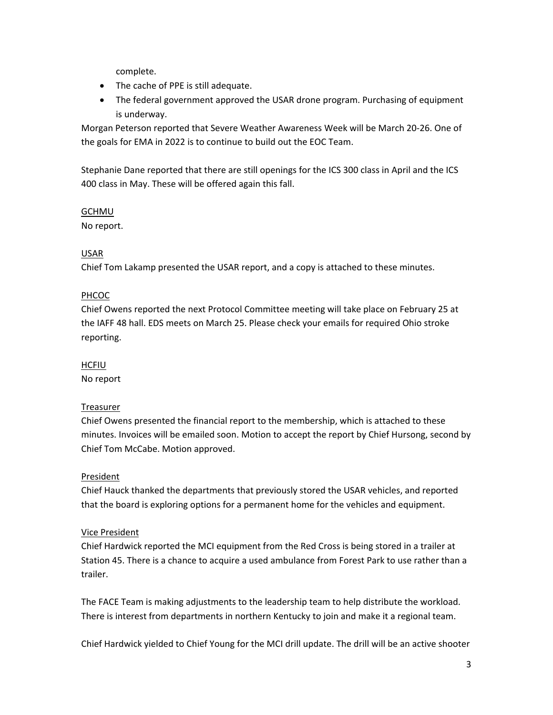complete.

- The cache of PPE is still adequate.
- The federal government approved the USAR drone program. Purchasing of equipment is underway.

Morgan Peterson reported that Severe Weather Awareness Week will be March 20-26. One of the goals for EMA in 2022 is to continue to build out the EOC Team.

Stephanie Dane reported that there are still openings for the ICS 300 class in April and the ICS 400 class in May. These will be offered again this fall.

## GCHMU

No report.

# USAR

Chief Tom Lakamp presented the USAR report, and a copy is attached to these minutes.

# PHCOC

Chief Owens reported the next Protocol Committee meeting will take place on February 25 at the IAFF 48 hall. EDS meets on March 25. Please check your emails for required Ohio stroke reporting.

# **HCFIU**

No report

# Treasurer

Chief Owens presented the financial report to the membership, which is attached to these minutes. Invoices will be emailed soon. Motion to accept the report by Chief Hursong, second by Chief Tom McCabe. Motion approved.

# President

Chief Hauck thanked the departments that previously stored the USAR vehicles, and reported that the board is exploring options for a permanent home for the vehicles and equipment.

# Vice President

Chief Hardwick reported the MCI equipment from the Red Cross is being stored in a trailer at Station 45. There is a chance to acquire a used ambulance from Forest Park to use rather than a trailer.

The FACE Team is making adjustments to the leadership team to help distribute the workload. There is interest from departments in northern Kentucky to join and make it a regional team.

Chief Hardwick yielded to Chief Young for the MCI drill update. The drill will be an active shooter